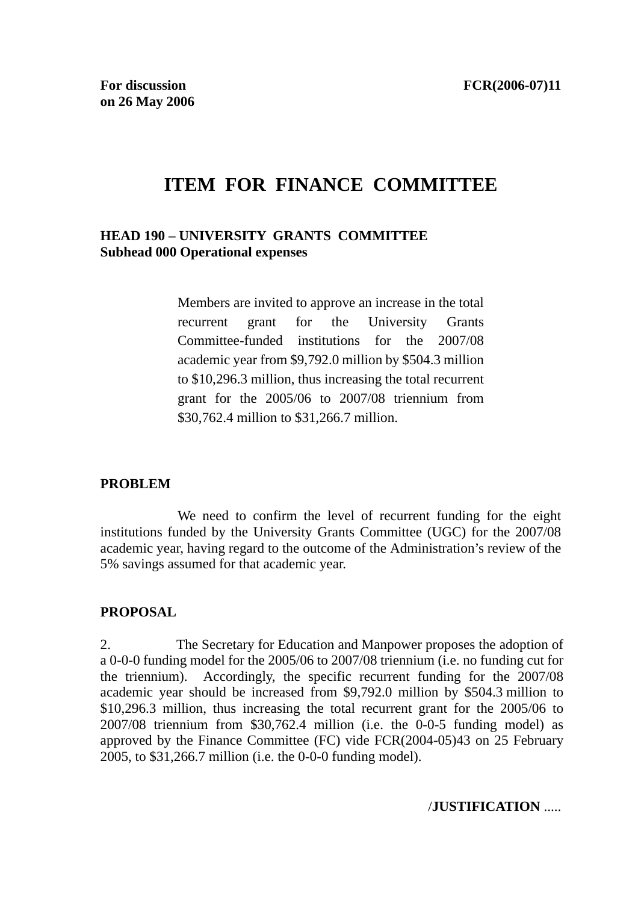# **ITEM FOR FINANCE COMMITTEE**

#### **HEAD 190 – UNIVERSITY GRANTS COMMITTEE Subhead 000 Operational expenses**

Members are invited to approve an increase in the total recurrent grant for the University Grants Committee-funded institutions for the 2007/08 academic year from \$9,792.0 million by \$504.3 million to \$10,296.3 million, thus increasing the total recurrent grant for the 2005/06 to 2007/08 triennium from \$30,762.4 million to \$31,266.7 million.

#### **PROBLEM**

 We need to confirm the level of recurrent funding for the eight institutions funded by the University Grants Committee (UGC) for the 2007/08 academic year, having regard to the outcome of the Administration's review of the 5% savings assumed for that academic year.

#### **PROPOSAL**

2. The Secretary for Education and Manpower proposes the adoption of a 0-0-0 funding model for the 2005/06 to 2007/08 triennium (i.e. no funding cut for the triennium). Accordingly, the specific recurrent funding for the 2007/08 academic year should be increased from \$9,792.0 million by \$504.3 million to \$10,296.3 million, thus increasing the total recurrent grant for the 2005/06 to 2007/08 triennium from \$30,762.4 million (i.e. the 0-0-5 funding model) as approved by the Finance Committee (FC) vide FCR(2004-05)43 on 25 February 2005, to \$31,266.7 million (i.e. the 0-0-0 funding model).

/**JUSTIFICATION** .....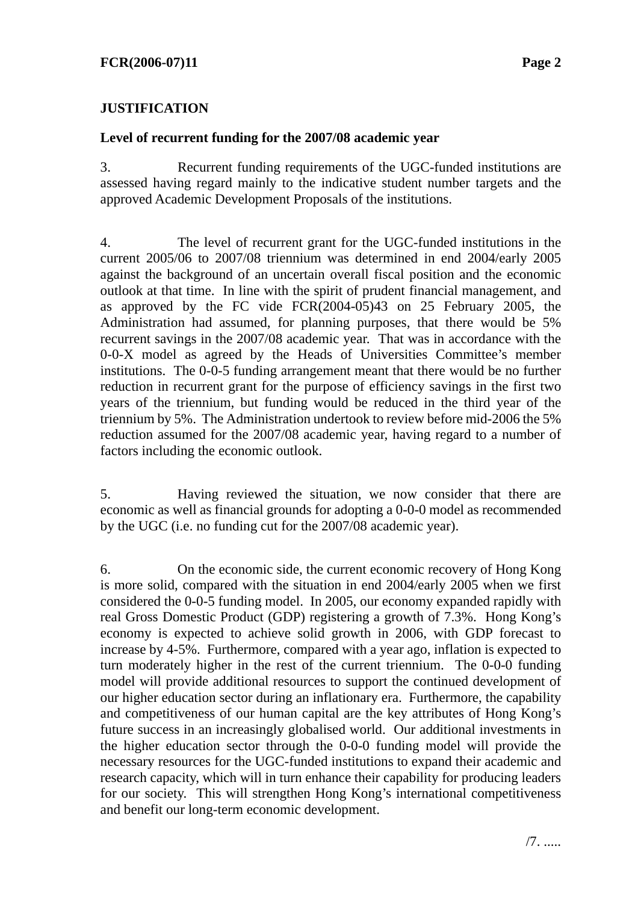#### **Level of recurrent funding for the 2007/08 academic year**

3. Recurrent funding requirements of the UGC-funded institutions are assessed having regard mainly to the indicative student number targets and the approved Academic Development Proposals of the institutions.

4. The level of recurrent grant for the UGC-funded institutions in the current 2005/06 to 2007/08 triennium was determined in end 2004/early 2005 against the background of an uncertain overall fiscal position and the economic outlook at that time. In line with the spirit of prudent financial management, and as approved by the FC vide FCR(2004-05)43 on 25 February 2005, the Administration had assumed, for planning purposes, that there would be 5% recurrent savings in the 2007/08 academic year. That was in accordance with the 0-0-X model as agreed by the Heads of Universities Committee's member institutions. The 0-0-5 funding arrangement meant that there would be no further reduction in recurrent grant for the purpose of efficiency savings in the first two years of the triennium, but funding would be reduced in the third year of the triennium by 5%. The Administration undertook to review before mid-2006 the 5% reduction assumed for the 2007/08 academic year, having regard to a number of factors including the economic outlook.

5. Having reviewed the situation, we now consider that there are economic as well as financial grounds for adopting a 0-0-0 model as recommended by the UGC (i.e. no funding cut for the 2007/08 academic year).

6. On the economic side, the current economic recovery of Hong Kong is more solid, compared with the situation in end 2004/early 2005 when we first considered the 0-0-5 funding model. In 2005, our economy expanded rapidly with real Gross Domestic Product (GDP) registering a growth of 7.3%. Hong Kong's economy is expected to achieve solid growth in 2006, with GDP forecast to increase by 4-5%. Furthermore, compared with a year ago, inflation is expected to turn moderately higher in the rest of the current triennium. The 0-0-0 funding model will provide additional resources to support the continued development of our higher education sector during an inflationary era. Furthermore, the capability and competitiveness of our human capital are the key attributes of Hong Kong's future success in an increasingly globalised world. Our additional investments in the higher education sector through the 0-0-0 funding model will provide the necessary resources for the UGC-funded institutions to expand their academic and research capacity, which will in turn enhance their capability for producing leaders for our society. This will strengthen Hong Kong's international competitiveness and benefit our long-term economic development.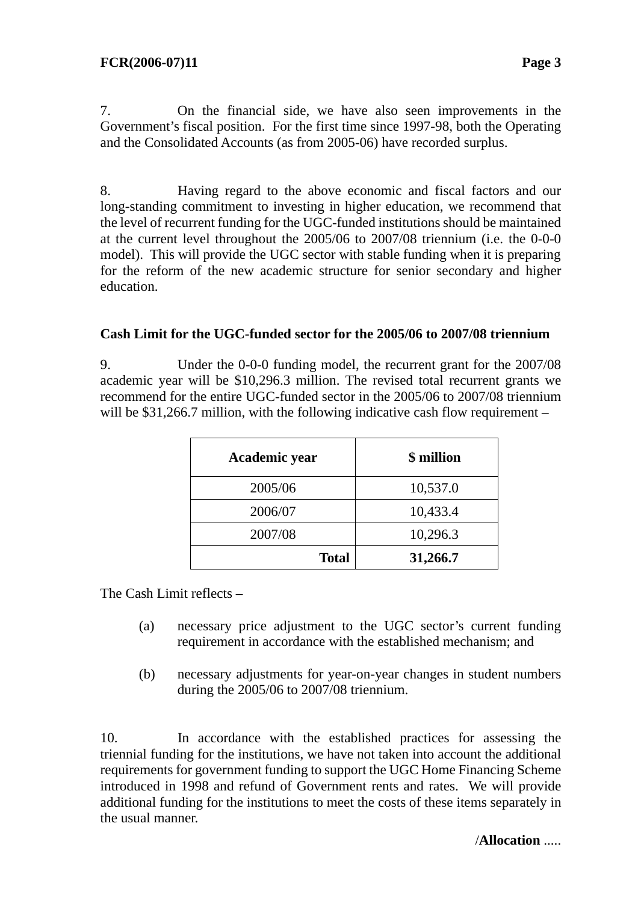7. On the financial side, we have also seen improvements in the Government's fiscal position. For the first time since 1997-98, both the Operating and the Consolidated Accounts (as from 2005-06) have recorded surplus.

8. Having regard to the above economic and fiscal factors and our long-standing commitment to investing in higher education, we recommend that the level of recurrent funding for the UGC-funded institutions should be maintained at the current level throughout the 2005/06 to 2007/08 triennium (i.e. the 0-0-0 model). This will provide the UGC sector with stable funding when it is preparing for the reform of the new academic structure for senior secondary and higher education.

#### **Cash Limit for the UGC-funded sector for the 2005/06 to 2007/08 triennium**

9. Under the 0-0-0 funding model, the recurrent grant for the 2007/08 academic year will be \$10,296.3 million. The revised total recurrent grants we recommend for the entire UGC-funded sector in the 2005/06 to 2007/08 triennium will be \$31,266.7 million, with the following indicative cash flow requirement –

| Academic year | \$ million |
|---------------|------------|
| 2005/06       | 10,537.0   |
| 2006/07       | 10,433.4   |
| 2007/08       | 10,296.3   |
| <b>Total</b>  | 31,266.7   |

The Cash Limit reflects –

- (a) necessary price adjustment to the UGC sector's current funding requirement in accordance with the established mechanism; and
- (b) necessary adjustments for year-on-year changes in student numbers during the 2005/06 to 2007/08 triennium.

10. In accordance with the established practices for assessing the triennial funding for the institutions, we have not taken into account the additional requirements for government funding to support the UGC Home Financing Scheme introduced in 1998 and refund of Government rents and rates. We will provide additional funding for the institutions to meet the costs of these items separately in the usual manner.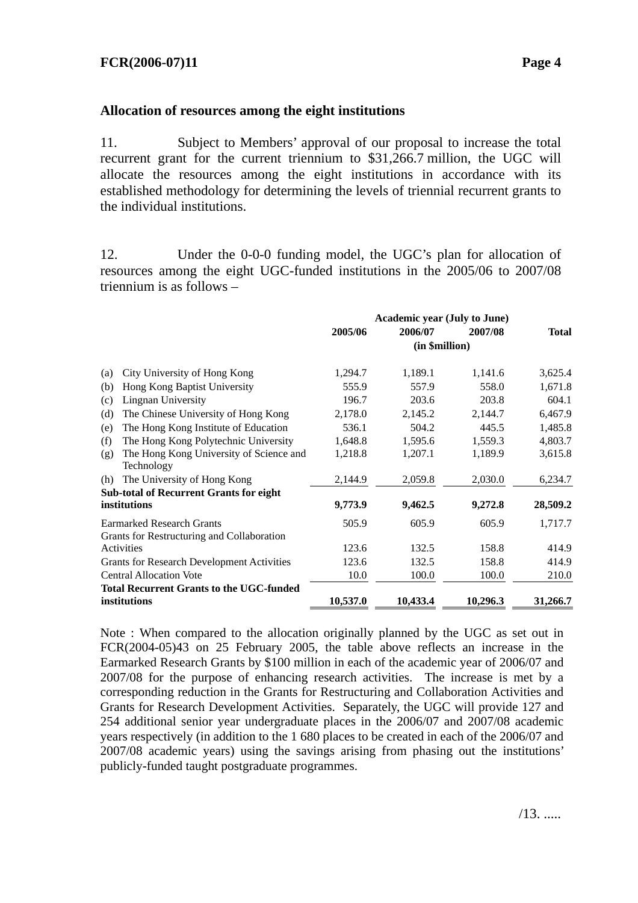## **Allocation of resources among the eight institutions**

11. Subject to Members' approval of our proposal to increase the total recurrent grant for the current triennium to \$31,266.7 million, the UGC will allocate the resources among the eight institutions in accordance with its established methodology for determining the levels of triennial recurrent grants to the individual institutions.

12. Under the 0-0-0 funding model, the UGC's plan for allocation of resources among the eight UGC-funded institutions in the 2005/06 to 2007/08 triennium is as follows –

|                                                                                | <b>Academic year (July to June)</b> |          |          |              |
|--------------------------------------------------------------------------------|-------------------------------------|----------|----------|--------------|
|                                                                                | 2005/06                             | 2006/07  | 2007/08  | <b>Total</b> |
|                                                                                | (in \$million)                      |          |          |              |
| City University of Hong Kong<br>(a)                                            | 1,294.7                             | 1,189.1  | 1,141.6  | 3,625.4      |
| Hong Kong Baptist University<br>(b)                                            | 555.9                               | 557.9    | 558.0    | 1,671.8      |
| Lingnan University<br>(c)                                                      | 196.7                               | 203.6    | 203.8    | 604.1        |
| The Chinese University of Hong Kong<br>(d)                                     | 2,178.0                             | 2,145.2  | 2,144.7  | 6,467.9      |
| The Hong Kong Institute of Education<br>(e)                                    | 536.1                               | 504.2    | 445.5    | 1,485.8      |
| The Hong Kong Polytechnic University<br>(f)                                    | 1,648.8                             | 1,595.6  | 1,559.3  | 4,803.7      |
| The Hong Kong University of Science and<br>(g)<br>Technology                   | 1,218.8                             | 1,207.1  | 1,189.9  | 3,615.8      |
| The University of Hong Kong<br>(h)                                             | 2,144.9                             | 2,059.8  | 2,030.0  | 6,234.7      |
| <b>Sub-total of Recurrent Grants for eight</b>                                 |                                     |          |          |              |
| institutions                                                                   | 9,773.9                             | 9,462.5  | 9,272.8  | 28,509.2     |
| <b>Earmarked Research Grants</b><br>Grants for Restructuring and Collaboration | 505.9                               | 605.9    | 605.9    | 1,717.7      |
| Activities                                                                     | 123.6                               | 132.5    | 158.8    | 414.9        |
| <b>Grants for Research Development Activities</b>                              | 123.6                               | 132.5    | 158.8    | 414.9        |
| <b>Central Allocation Vote</b>                                                 | 10.0                                | 100.0    | 100.0    | 210.0        |
| <b>Total Recurrent Grants to the UGC-funded</b>                                |                                     |          |          |              |
| institutions                                                                   | 10,537.0                            | 10,433.4 | 10,296.3 | 31,266.7     |

Note : When compared to the allocation originally planned by the UGC as set out in FCR(2004-05)43 on 25 February 2005, the table above reflects an increase in the Earmarked Research Grants by \$100 million in each of the academic year of 2006/07 and 2007/08 for the purpose of enhancing research activities. The increase is met by a corresponding reduction in the Grants for Restructuring and Collaboration Activities and Grants for Research Development Activities. Separately, the UGC will provide 127 and 254 additional senior year undergraduate places in the 2006/07 and 2007/08 academic years respectively (in addition to the 1 680 places to be created in each of the 2006/07 and 2007/08 academic years) using the savings arising from phasing out the institutions' publicly-funded taught postgraduate programmes.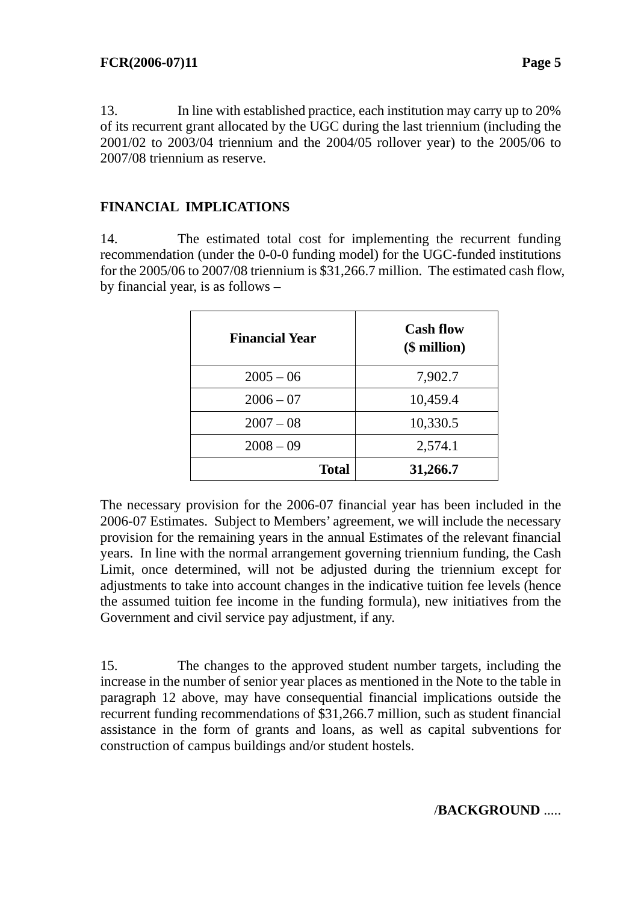13. In line with established practice, each institution may carry up to 20% of its recurrent grant allocated by the UGC during the last triennium (including the 2001/02 to 2003/04 triennium and the 2004/05 rollover year) to the 2005/06 to 2007/08 triennium as reserve.

# **FINANCIAL IMPLICATIONS**

14. The estimated total cost for implementing the recurrent funding recommendation (under the 0-0-0 funding model) for the UGC-funded institutions for the 2005/06 to 2007/08 triennium is \$31,266.7 million. The estimated cash flow, by financial year, is as follows –

| <b>Financial Year</b> | <b>Cash flow</b><br>$$$ million $)$ |
|-----------------------|-------------------------------------|
| $2005 - 06$           | 7,902.7                             |
| $2006 - 07$           | 10,459.4                            |
| $2007 - 08$           | 10,330.5                            |
| $2008 - 09$           | 2,574.1                             |
| <b>Total</b>          | 31,266.7                            |

The necessary provision for the 2006-07 financial year has been included in the 2006-07 Estimates. Subject to Members' agreement, we will include the necessary provision for the remaining years in the annual Estimates of the relevant financial years. In line with the normal arrangement governing triennium funding, the Cash Limit, once determined, will not be adjusted during the triennium except for adjustments to take into account changes in the indicative tuition fee levels (hence the assumed tuition fee income in the funding formula), new initiatives from the Government and civil service pay adjustment, if any.

15. The changes to the approved student number targets, including the increase in the number of senior year places as mentioned in the Note to the table in paragraph 12 above, may have consequential financial implications outside the recurrent funding recommendations of \$31,266.7 million, such as student financial assistance in the form of grants and loans, as well as capital subventions for construction of campus buildings and/or student hostels.